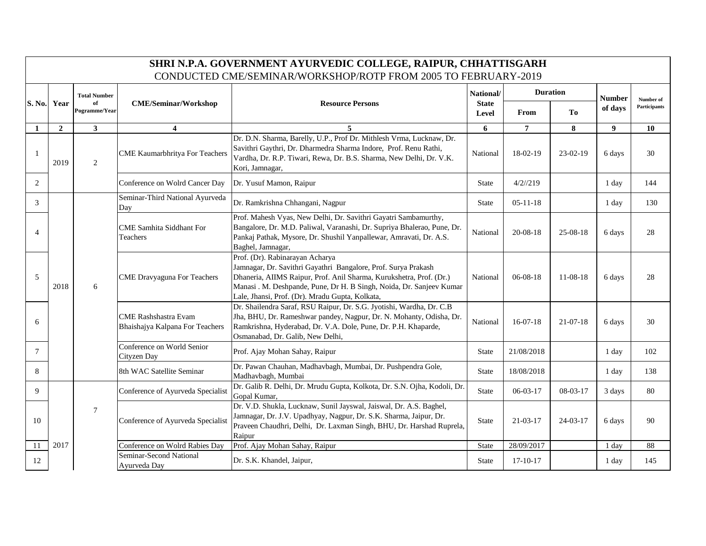|                | SHRI N.P.A. GOVERNMENT AYURVEDIC COLLEGE, RAIPUR, CHHATTISGARH<br>CONDUCTED CME/SEMINAR/WORKSHOP/ROTP FROM 2005 TO FEBRUARY-2019 |                     |                                                                |                                                                                                                                                                                                                                                                                                     |                       |                 |                |               |              |  |  |
|----------------|----------------------------------------------------------------------------------------------------------------------------------|---------------------|----------------------------------------------------------------|-----------------------------------------------------------------------------------------------------------------------------------------------------------------------------------------------------------------------------------------------------------------------------------------------------|-----------------------|-----------------|----------------|---------------|--------------|--|--|
|                |                                                                                                                                  | <b>Total Number</b> |                                                                |                                                                                                                                                                                                                                                                                                     | National/             | <b>Duration</b> |                | <b>Number</b> | Number of    |  |  |
| S. No.         | Year                                                                                                                             | of<br>Pogramme/Year | <b>CME/Seminar/Workshop</b>                                    | <b>Resource Persons</b>                                                                                                                                                                                                                                                                             | <b>State</b><br>Level | From            | <b>To</b>      | of days       | Participants |  |  |
| $\mathbf{1}$   | $\overline{2}$                                                                                                                   | 3                   | $\overline{\mathbf{4}}$                                        | 5                                                                                                                                                                                                                                                                                                   | 6                     | 7               | 8              | 9             | 10           |  |  |
| -1             | 2019                                                                                                                             | 2                   | <b>CME Kaumarbhritya For Teachers</b>                          | Dr. D.N. Sharma, Barelly, U.P., Prof Dr. Mithlesh Vrma, Lucknaw, Dr.<br>Savithri Gaythri, Dr. Dharmedra Sharma Indore, Prof. Renu Rathi,<br>Vardha, Dr. R.P. Tiwari, Rewa, Dr. B.S. Sharma, New Delhi, Dr. V.K.<br>Kori, Jamnagar,                                                                  | National              | $18-02-19$      | $23-02-19$     | 6 days        | 30           |  |  |
| 2              |                                                                                                                                  |                     | Conference on Wolrd Cancer Day                                 | Dr. Yusuf Mamon, Raipur                                                                                                                                                                                                                                                                             | <b>State</b>          | $4/2$ //219     |                | 1 day         | 144          |  |  |
| 3              |                                                                                                                                  |                     | Seminar-Third National Ayurveda<br>Day                         | Dr. Ramkrishna Chhangani, Nagpur                                                                                                                                                                                                                                                                    | <b>State</b>          | $05 - 11 - 18$  |                | 1 day         | 130          |  |  |
| $\overline{4}$ |                                                                                                                                  |                     | <b>CME Samhita Siddhant For</b><br>Teachers                    | Prof. Mahesh Vyas, New Delhi, Dr. Savithri Gayatri Sambamurthy,<br>Bangalore, Dr. M.D. Paliwal, Varanashi, Dr. Supriya Bhalerao, Pune, Dr.<br>Pankaj Pathak, Mysore, Dr. Shushil Yanpallewar, Amravati, Dr. A.S.<br>Baghel, Jamnagar,                                                               | National              | $20 - 08 - 18$  | $25-08-18$     | 6 days        | 28           |  |  |
| 5              | 2018                                                                                                                             | 6                   | <b>CME</b> Dravyaguna For Teachers                             | Prof. (Dr). Rabinarayan Acharya<br>Jamnagar, Dr. Savithri Gayathri Bangalore, Prof. Surya Prakash<br>Dhaneria, AIIMS Raipur, Prof. Anil Sharma, Kurukshetra, Prof. (Dr.)<br>Manasi . M. Deshpande, Pune, Dr H. B Singh, Noida, Dr. Sanjeev Kumar<br>Lale, Jhansi, Prof. (Dr). Mradu Gupta, Kolkata, | National              | $06 - 08 - 18$  | $11-08-18$     | 6 days        | 28           |  |  |
| 6              |                                                                                                                                  |                     | <b>CME Rashshastra Evam</b><br>Bhaishajya Kalpana For Teachers | Dr. Shailendra Saraf, RSU Raipur, Dr. S.G. Jyotishi, Wardha, Dr. C.B<br>Jha, BHU, Dr. Rameshwar pandey, Nagpur, Dr. N. Mohanty, Odisha, Dr.<br>Ramkrishna, Hyderabad, Dr. V.A. Dole, Pune, Dr. P.H. Khaparde,<br>Osmanabad, Dr. Galib, New Delhi,                                                   | National              | $16-07-18$      | $21-07-18$     | 6 days        | 30           |  |  |
| 7              |                                                                                                                                  |                     | Conference on World Senior<br>Cityzen Day                      | Prof. Ajay Mohan Sahay, Raipur                                                                                                                                                                                                                                                                      | <b>State</b>          | 21/08/2018      |                | 1 day         | 102          |  |  |
| 8              |                                                                                                                                  |                     | 8th WAC Satellite Seminar                                      | Dr. Pawan Chauhan, Madhavbagh, Mumbai, Dr. Pushpendra Gole,<br>Madhavbagh, Mumbai                                                                                                                                                                                                                   | <b>State</b>          | 18/08/2018      |                | 1 day         | 138          |  |  |
| 9              |                                                                                                                                  |                     | Conference of Ayurveda Specialist                              | Dr. Galib R. Delhi, Dr. Mrudu Gupta, Kolkota, Dr. S.N. Ojha, Kodoli, Dr.<br>Gopal Kumar,                                                                                                                                                                                                            | <b>State</b>          | $06-03-17$      | 08-03-17       | 3 days        | 80           |  |  |
| 10             |                                                                                                                                  | $\tau$              | Conference of Ayurveda Specialist                              | Dr. V.D. Shukla, Lucknaw, Sunil Jayswal, Jaiswal, Dr. A.S. Baghel,<br>Jamnagar, Dr. J.V. Upadhyay, Nagpur, Dr. S.K. Sharma, Jaipur, Dr.<br>Praveen Chaudhri, Delhi, Dr. Laxman Singh, BHU, Dr. Harshad Ruprela,<br>Raipur                                                                           | <b>State</b>          | $21 - 03 - 17$  | $24 - 03 - 17$ | 6 days        | 90           |  |  |
| 11             | 2017                                                                                                                             |                     | Conference on Wolrd Rabies Day                                 | Prof. Ajay Mohan Sahay, Raipur                                                                                                                                                                                                                                                                      | State                 | 28/09/2017      |                | 1 day         | 88           |  |  |
| 12             |                                                                                                                                  |                     | Seminar-Second National<br>Ayurveda Day                        | Dr. S.K. Khandel, Jaipur,                                                                                                                                                                                                                                                                           | <b>State</b>          | $17-10-17$      |                | 1 day         | 145          |  |  |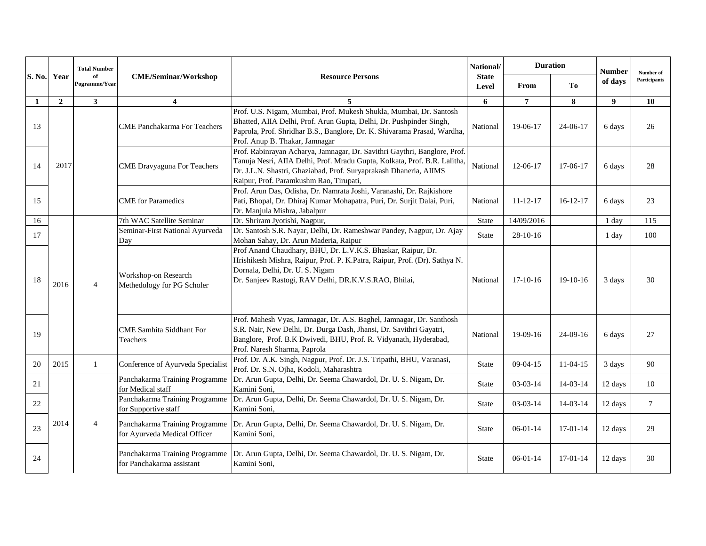|        |                | <b>Total Number</b> |                                                             |                                                                                                                                                                                                                                                                        | <b>Duration</b><br>National/                                                                                                                                                    |                |                | <b>Number</b> | Number of    |                                                    |
|--------|----------------|---------------------|-------------------------------------------------------------|------------------------------------------------------------------------------------------------------------------------------------------------------------------------------------------------------------------------------------------------------------------------|---------------------------------------------------------------------------------------------------------------------------------------------------------------------------------|----------------|----------------|---------------|--------------|----------------------------------------------------|
| S. No. | Year           | Pogramme/Year       | <b>CME/Seminar/Workshop</b><br>of                           | <b>Resource Persons</b>                                                                                                                                                                                                                                                | <b>State</b><br>Level                                                                                                                                                           | From           | T <sub>0</sub> | of days       | Participants |                                                    |
| 1      | $\overline{2}$ | $\mathbf{3}$        | $\boldsymbol{4}$                                            | 5                                                                                                                                                                                                                                                                      | 6                                                                                                                                                                               | $\overline{7}$ | 8              | 9             | 10           |                                                    |
| 13     |                |                     | <b>CME Panchakarma For Teachers</b>                         | Prof. U.S. Nigam, Mumbai, Prof. Mukesh Shukla, Mumbai, Dr. Santosh<br>Bhatted, AIIA Delhi, Prof. Arun Gupta, Delhi, Dr. Pushpinder Singh,<br>Paprola, Prof. Shridhar B.S., Banglore, Dr. K. Shivarama Prasad, Wardha,<br>Prof. Anup B. Thakar, Jamnagar                | National                                                                                                                                                                        | 19-06-17       | 24-06-17       | 6 days        | 26           |                                                    |
| 14     | 2017           |                     | <b>CME</b> Dravyaguna For Teachers                          | Prof. Rabinrayan Acharya, Jamnagar, Dr. Savithri Gaythri, Banglore, Prof.<br>Tanuja Nesri, AIIA Delhi, Prof. Mradu Gupta, Kolkata, Prof. B.R. Lalitha,<br>Dr. J.L.N. Shastri, Ghaziabad, Prof. Suryaprakash Dhaneria, AIIMS<br>Raipur, Prof. Paramkushm Rao, Tirupati, | National                                                                                                                                                                        | 12-06-17       | 17-06-17       | 6 days        | 28           |                                                    |
| 15     |                |                     |                                                             | <b>CME</b> for Paramedics                                                                                                                                                                                                                                              | Prof. Arun Das, Odisha, Dr. Namrata Joshi, Varanashi, Dr. Rajkishore<br>Pati, Bhopal, Dr. Dhiraj Kumar Mohapatra, Puri, Dr. Surjit Dalai, Puri,<br>Dr. Manjula Mishra, Jabalpur | National       | $11 - 12 - 17$ | $16-12-17$    | 6 days       | 23<br>115<br>100<br>30<br>27<br>90<br>10<br>$\tau$ |
| 16     |                |                     | 7th WAC Satellite Seminar                                   | Dr. Shriram Jyotishi, Nagpur,                                                                                                                                                                                                                                          | <b>State</b>                                                                                                                                                                    | 14/09/2016     |                | 1 day         |              |                                                    |
| 17     |                |                     | Seminar-First National Ayurveda<br>Day                      | Dr. Santosh S.R. Nayar, Delhi, Dr. Rameshwar Pandey, Nagpur, Dr. Ajay<br>Mohan Sahay, Dr. Arun Maderia, Raipur                                                                                                                                                         | <b>State</b>                                                                                                                                                                    | $28-10-16$     |                | 1 day         |              |                                                    |
| 18     | 2016           | $\overline{4}$      | Workshop-on Research<br>Methedology for PG Scholer          | Prof Anand Chaudhary, BHU, Dr. L.V.K.S. Bhaskar, Raipur, Dr.<br>Hrishikesh Mishra, Raipur, Prof. P. K.Patra, Raipur, Prof. (Dr). Sathya N.<br>Dornala, Delhi, Dr. U. S. Nigam<br>Dr. Sanjeev Rastogi, RAV Delhi, DR.K.V.S.RAO, Bhilai,                                 | National                                                                                                                                                                        | $17-10-16$     | $19-10-16$     | 3 days        |              |                                                    |
| 19     |                |                     | <b>CME Samhita Siddhant For</b><br>Teachers                 | Prof. Mahesh Vyas, Jamnagar, Dr. A.S. Baghel, Jamnagar, Dr. Santhosh<br>S.R. Nair, New Delhi, Dr. Durga Dash, Jhansi, Dr. Savithri Gayatri,<br>Banglore, Prof. B.K Dwivedi, BHU, Prof. R. Vidyanath, Hyderabad,<br>Prof. Naresh Sharma, Paprola                        | National                                                                                                                                                                        | 19-09-16       | $24-09-16$     | 6 days        |              |                                                    |
| 20     | 2015           | 1                   | Conference of Ayurveda Specialist                           | Prof. Dr. A.K. Singh, Nagpur, Prof. Dr. J.S. Tripathi, BHU, Varanasi,<br>Prof. Dr. S.N. Ojha, Kodoli, Maharashtra                                                                                                                                                      | State                                                                                                                                                                           | $09 - 04 - 15$ | $11-04-15$     | 3 days        |              |                                                    |
| 21     |                |                     | Panchakarma Training Programme<br>for Medical staff         | Dr. Arun Gupta, Delhi, Dr. Seema Chawardol, Dr. U. S. Nigam, Dr.<br>Kamini Soni,                                                                                                                                                                                       | <b>State</b>                                                                                                                                                                    | $03-03-14$     | $14-03-14$     | 12 days       |              |                                                    |
| 22     |                |                     | Panchakarma Training Programme<br>for Supportive staff      | Dr. Arun Gupta, Delhi, Dr. Seema Chawardol, Dr. U. S. Nigam, Dr.<br>Kamini Soni,                                                                                                                                                                                       | <b>State</b>                                                                                                                                                                    | $03-03-14$     | $14-03-14$     | 12 days       |              |                                                    |
| 23     | 2014           | $\overline{4}$      | for Ayurveda Medical Officer                                | Panchakarma Training Programme Dr. Arun Gupta, Delhi, Dr. Seema Chawardol, Dr. U. S. Nigam, Dr.<br>Kamini Soni,                                                                                                                                                        | <b>State</b>                                                                                                                                                                    | $06-01-14$     | $17-01-14$     | 12 days       | 29           |                                                    |
| 24     |                |                     | Panchakarma Training Programme<br>for Panchakarma assistant | Dr. Arun Gupta, Delhi, Dr. Seema Chawardol, Dr. U. S. Nigam, Dr.<br>Kamini Soni,                                                                                                                                                                                       | <b>State</b>                                                                                                                                                                    | $06 - 01 - 14$ | $17-01-14$     | 12 days       | 30           |                                                    |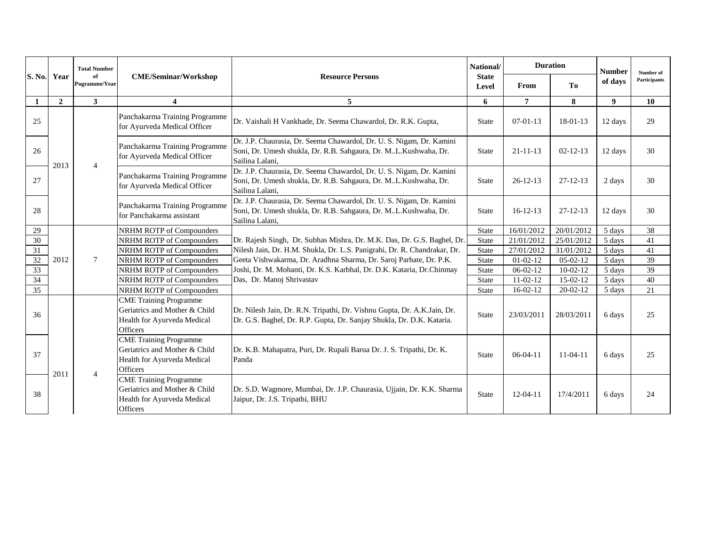|               |                | <b>Total Number</b> |                                                                                                                  |                                                                                                                                                             | <b>Duration</b><br>National/ |                | <b>Number</b>  | Number of      |              |
|---------------|----------------|---------------------|------------------------------------------------------------------------------------------------------------------|-------------------------------------------------------------------------------------------------------------------------------------------------------------|------------------------------|----------------|----------------|----------------|--------------|
| <b>S. No.</b> | Year           | of<br>Pogramme/Year | <b>CME/Seminar/Workshop</b>                                                                                      | <b>Resource Persons</b>                                                                                                                                     | <b>State</b><br>Level        | From           | <b>To</b>      | of days        | Participants |
| 1             | $\overline{2}$ | $\mathbf{3}$        | $\overline{4}$                                                                                                   | 5                                                                                                                                                           | 6                            | $\overline{7}$ | 8              | 9 <sup>°</sup> | 10           |
| 25            |                |                     | Panchakarma Training Programme<br>for Ayurveda Medical Officer                                                   | Dr. Vaishali H Vankhade, Dr. Seema Chawardol, Dr. R.K. Gupta,                                                                                               | State                        | $07 - 01 - 13$ | $18-01-13$     | 12 days        | 29           |
| 26            | 2013           | $\overline{4}$      | Panchakarma Training Programme<br>for Ayurveda Medical Officer                                                   | Dr. J.P. Chaurasia, Dr. Seema Chawardol, Dr. U. S. Nigam, Dr. Kamini<br>Soni, Dr. Umesh shukla, Dr. R.B. Sahgaura, Dr. ML.Kushwaha, Dr.<br>Sailina Lalani,  | <b>State</b>                 | $21 - 11 - 13$ | $02 - 12 - 13$ | 12 days        | 30           |
| 27            |                |                     | Panchakarma Training Programme<br>for Ayurveda Medical Officer                                                   | Dr. J.P. Chaurasia, Dr. Seema Chawardol, Dr. U. S. Nigam, Dr. Kamini<br>Soni, Dr. Umesh shukla, Dr. R.B. Sahgaura, Dr. ML.Kushwaha, Dr.<br>Sailina Lalani,  | <b>State</b>                 | $26 - 12 - 13$ | $27 - 12 - 13$ | 2 days         | 30           |
| 28            |                |                     | Panchakarma Training Programme<br>for Panchakarma assistant                                                      | Dr. J.P. Chaurasia, Dr. Seema Chawardol, Dr. U. S. Nigam, Dr. Kamini<br>Soni, Dr. Umesh shukla, Dr. R.B. Sahgaura, Dr. M.L.Kushwaha, Dr.<br>Sailina Lalani, | <b>State</b>                 | $16 - 12 - 13$ | 27-12-13       | 12 days        | 30           |
| 29            |                |                     | NRHM ROTP of Compounders                                                                                         |                                                                                                                                                             | <b>State</b>                 | 16/01/2012     | 20/01/2012     | 5 days         | 38           |
| 30            |                |                     | NRHM ROTP of Compounders                                                                                         | Dr. Rajesh Singh, Dr. Subhas Mishra, Dr. M.K. Das, Dr. G.S. Baghel, Dr.                                                                                     | <b>State</b>                 | 21/01/2012     | 25/01/2012     | 5 days         | 41           |
| 31            |                |                     | NRHM ROTP of Compounders                                                                                         | Nilesh Jain, Dr. H.M. Shukla, Dr. L.S. Panigrahi, Dr. R. Chandrakar, Dr.                                                                                    | <b>State</b>                 | 27/01/2012     | 31/01/2012     | 5 days         | 41           |
| 32            | 2012           | $\tau$              | NRHM ROTP of Compounders                                                                                         | Geeta Vishwakarma, Dr. Aradhna Sharma, Dr. Saroj Parhate, Dr. P.K.                                                                                          | <b>State</b>                 | $01 - 02 - 12$ | $05-02-12$     | 5 days         | 39           |
| 33            |                |                     | NRHM ROTP of Compounders                                                                                         | Joshi, Dr. M. Mohanti, Dr. K.S. Karbhal, Dr. D.K. Kataria, Dr.Chinmay                                                                                       | <b>State</b>                 | $06 - 02 - 12$ | $10 - 02 - 12$ | 5 days         | 39           |
| 34            |                |                     | NRHM ROTP of Compounders                                                                                         | Das, Dr. Manoj Shrivastav                                                                                                                                   | <b>State</b>                 | $11-02-12$     | $15-02-12$     | 5 days         | 40           |
| 35            |                |                     | NRHM ROTP of Compounders                                                                                         |                                                                                                                                                             | <b>State</b>                 | $16 - 02 - 12$ | $20 - 02 - 12$ | 5 days         | 21           |
| 36            |                |                     | <b>CME Training Programme</b><br>Geriatrics and Mother & Child<br>Health for Ayurveda Medical<br>Officers        | Dr. Nilesh Jain, Dr. R.N. Tripathi, Dr. Vishnu Gupta, Dr. A.K.Jain, Dr.<br>Dr. G.S. Baghel, Dr. R.P. Gupta, Dr. Sanjay Shukla, Dr. D.K. Kataria.            | <b>State</b>                 | 23/03/2011     | 28/03/2011     | 6 days         | 25           |
| 37            | 2011           | $\overline{4}$      | <b>CME Training Programme</b><br>Geriatrics and Mother & Child<br>Health for Ayurveda Medical<br><b>Officers</b> | Dr. K.B. Mahapatra, Puri, Dr. Rupali Barua Dr. J. S. Tripathi, Dr. K.<br>Panda                                                                              | <b>State</b>                 | $06-04-11$     | $11-04-11$     | 6 days         | 25           |
| 38            |                |                     | <b>CME</b> Training Programme<br>Geriatrics and Mother & Child<br>Health for Ayurveda Medical<br>Officers        | Dr. S.D. Wagmore, Mumbai, Dr. J.P. Chaurasia, Ujjain, Dr. K.K. Sharma<br>Jaipur, Dr. J.S. Tripathi, BHU                                                     | <b>State</b>                 | $12 - 04 - 11$ | 17/4/2011      | 6 days         | 24           |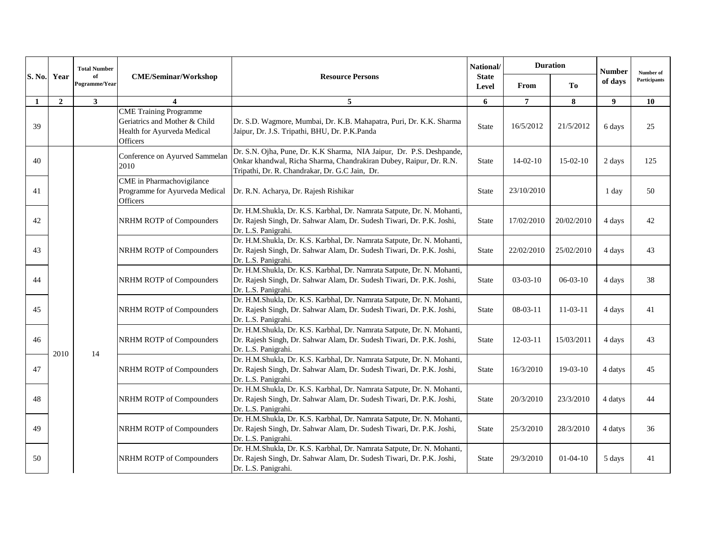| S. No. |                | <b>Total Number</b> |                                                                                                           |                                                                                                                                                                                              | <b>Duration</b><br>National/<br><b>State</b><br>T <sub>0</sub><br>From<br>Level |                | <b>Number</b> | Number of |              |
|--------|----------------|---------------------|-----------------------------------------------------------------------------------------------------------|----------------------------------------------------------------------------------------------------------------------------------------------------------------------------------------------|---------------------------------------------------------------------------------|----------------|---------------|-----------|--------------|
|        | Year           | of<br>Pogramme/Year | <b>CME/Seminar/Workshop</b>                                                                               | <b>Resource Persons</b>                                                                                                                                                                      |                                                                                 |                |               | of days   | Participants |
| 1      | $\overline{2}$ | 3 <sup>1</sup>      | $\overline{\mathbf{4}}$                                                                                   | 5                                                                                                                                                                                            | 6                                                                               | $\overline{7}$ | 8             | 9         | 10           |
| 39     |                |                     | <b>CME</b> Training Programme<br>Geriatrics and Mother & Child<br>Health for Ayurveda Medical<br>Officers | Dr. S.D. Wagmore, Mumbai, Dr. K.B. Mahapatra, Puri, Dr. K.K. Sharma<br>Jaipur, Dr. J.S. Tripathi, BHU, Dr. P.K.Panda                                                                         | State                                                                           | 16/5/2012      | 21/5/2012     | 6 days    | 25           |
| 40     |                |                     | Conference on Ayurved Sammelan<br>2010                                                                    | Dr. S.N. Ojha, Pune, Dr. K.K Sharma, NIA Jaipur, Dr. P.S. Deshpande,<br>Onkar khandwal, Richa Sharma, Chandrakiran Dubey, Raipur, Dr. R.N.<br>Tripathi, Dr. R. Chandrakar, Dr. G.C Jain, Dr. | <b>State</b>                                                                    | $14-02-10$     | $15-02-10$    | 2 days    | 125          |
| 41     |                |                     | CME in Pharmachovigilance<br>Programme for Ayurveda Medical<br>Officers                                   | Dr. R.N. Acharya, Dr. Rajesh Rishikar                                                                                                                                                        | <b>State</b>                                                                    | 23/10/2010     |               | 1 day     | 50           |
| 42     |                |                     | NRHM ROTP of Compounders                                                                                  | Dr. H.M.Shukla, Dr. K.S. Karbhal, Dr. Namrata Satpute, Dr. N. Mohanti,<br>Dr. Rajesh Singh, Dr. Sahwar Alam, Dr. Sudesh Tiwari, Dr. P.K. Joshi,<br>Dr. L.S. Panigrahi.                       | <b>State</b>                                                                    | 17/02/2010     | 20/02/2010    | 4 days    | 42           |
| 43     |                |                     | NRHM ROTP of Compounders                                                                                  | Dr. H.M.Shukla, Dr. K.S. Karbhal, Dr. Namrata Satpute, Dr. N. Mohanti,<br>Dr. Rajesh Singh, Dr. Sahwar Alam, Dr. Sudesh Tiwari, Dr. P.K. Joshi,<br>Dr. L.S. Panigrahi.                       | <b>State</b>                                                                    | 22/02/2010     | 25/02/2010    | 4 days    | 43           |
| 44     |                |                     | NRHM ROTP of Compounders                                                                                  | Dr. H.M.Shukla, Dr. K.S. Karbhal, Dr. Namrata Satpute, Dr. N. Mohanti,<br>Dr. Rajesh Singh, Dr. Sahwar Alam, Dr. Sudesh Tiwari, Dr. P.K. Joshi,<br>Dr. L.S. Panigrahi.                       | <b>State</b>                                                                    | $03-03-10$     | $06-03-10$    | 4 days    | 38           |
| 45     |                |                     | NRHM ROTP of Compounders                                                                                  | Dr. H.M.Shukla, Dr. K.S. Karbhal, Dr. Namrata Satpute, Dr. N. Mohanti,<br>Dr. Rajesh Singh, Dr. Sahwar Alam, Dr. Sudesh Tiwari, Dr. P.K. Joshi,<br>Dr. L.S. Panigrahi.                       | <b>State</b>                                                                    | $08-03-11$     | $11-03-11$    | 4 days    | 41           |
| 46     | 2010           | 14                  | NRHM ROTP of Compounders                                                                                  | Dr. H.M.Shukla, Dr. K.S. Karbhal, Dr. Namrata Satpute, Dr. N. Mohanti,<br>Dr. Rajesh Singh, Dr. Sahwar Alam, Dr. Sudesh Tiwari, Dr. P.K. Joshi,<br>Dr. L.S. Panigrahi.                       | <b>State</b>                                                                    | $12 - 03 - 11$ | 15/03/2011    | 4 days    | 43           |
| 47     |                |                     | NRHM ROTP of Compounders                                                                                  | Dr. H.M.Shukla, Dr. K.S. Karbhal, Dr. Namrata Satpute, Dr. N. Mohanti,<br>Dr. Rajesh Singh, Dr. Sahwar Alam, Dr. Sudesh Tiwari, Dr. P.K. Joshi,<br>Dr. L.S. Panigrahi.                       | <b>State</b>                                                                    | 16/3/2010      | $19-03-10$    | 4 datys   | 45           |
| 48     |                |                     | NRHM ROTP of Compounders                                                                                  | Dr. H.M.Shukla, Dr. K.S. Karbhal, Dr. Namrata Satpute, Dr. N. Mohanti,<br>Dr. Rajesh Singh, Dr. Sahwar Alam, Dr. Sudesh Tiwari, Dr. P.K. Joshi,<br>Dr. L.S. Panigrahi.                       | <b>State</b>                                                                    | 20/3/2010      | 23/3/2010     | 4 datys   | 44           |
| 49     |                |                     | NRHM ROTP of Compounders                                                                                  | Dr. H.M.Shukla, Dr. K.S. Karbhal, Dr. Namrata Satpute, Dr. N. Mohanti,<br>Dr. Rajesh Singh, Dr. Sahwar Alam, Dr. Sudesh Tiwari, Dr. P.K. Joshi,<br>Dr. L.S. Panigrahi.                       | <b>State</b>                                                                    | 25/3/2010      | 28/3/2010     | 4 datys   | 36           |
| 50     |                |                     | NRHM ROTP of Compounders                                                                                  | Dr. H.M.Shukla, Dr. K.S. Karbhal, Dr. Namrata Satpute, Dr. N. Mohanti,<br>Dr. Rajesh Singh, Dr. Sahwar Alam, Dr. Sudesh Tiwari, Dr. P.K. Joshi,<br>Dr. L.S. Panigrahi.                       | <b>State</b>                                                                    | 29/3/2010      | $01-04-10$    | 5 days    | 41           |